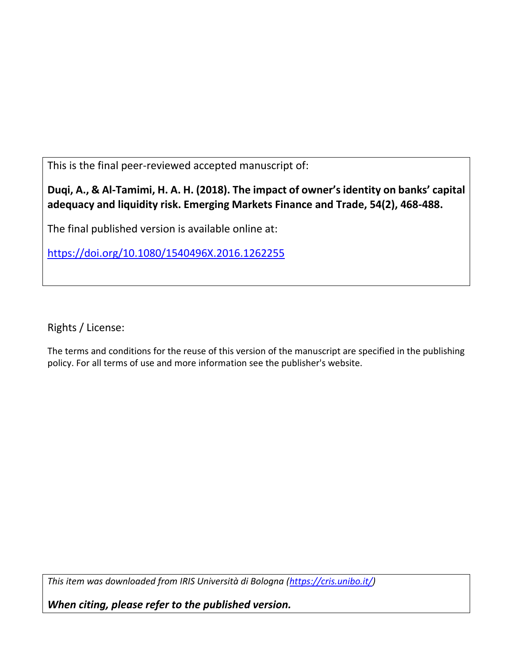This is the final peer-reviewed accepted manuscript of:

# **Duqi, A., & Al-Tamimi, H. A. H. (2018). The impact of owner's identity on banks' capital adequacy and liquidity risk. Emerging Markets Finance and Trade, 54(2), 468-488.**

The final published version is available online at:

<https://doi.org/10.1080/1540496X.2016.1262255>

Rights / License:

The terms and conditions for the reuse of this version of the manuscript are specified in the publishing policy. For all terms of use and more information see the publisher's website.

*This item was downloaded from IRIS Università di Bologna [\(https://cris.unibo.it/\)](https://cris.unibo.it/)*

*When citing, please refer to the published version.*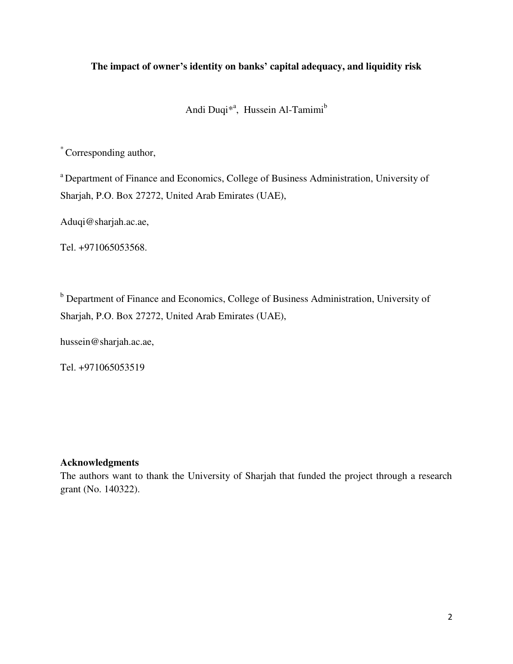# **The impact of owner's identity on banks' capital adequacy, and liquidity risk**

Andi Duqi<sup>\*a</sup>, Hussein Al-Tamimi<sup>b</sup>

\*Corresponding author,

<sup>a</sup> Department of Finance and Economics, College of Business Administration, University of Sharjah, P.O. Box 27272, United Arab Emirates (UAE),

Aduqi@sharjah.ac.ae,

Tel. +971065053568.

<sup>b</sup> Department of Finance and Economics, College of Business Administration, University of Sharjah, P.O. Box 27272, United Arab Emirates (UAE),

hussein@sharjah.ac.ae,

Tel. +971065053519

# **Acknowledgments**

The authors want to thank the University of Sharjah that funded the project through a research grant (No. 140322).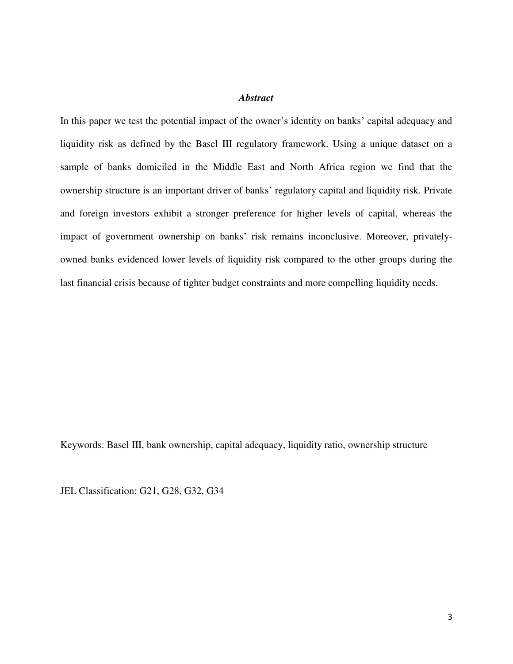# *Abstract*

In this paper we test the potential impact of the owner's identity on banks' capital adequacy and liquidity risk as defined by the Basel III regulatory framework. Using a unique dataset on a sample of banks domiciled in the Middle East and North Africa region we find that the ownership structure is an important driver of banks' regulatory capital and liquidity risk. Private and foreign investors exhibit a stronger preference for higher levels of capital, whereas the impact of government ownership on banks' risk remains inconclusive. Moreover, privatelyowned banks evidenced lower levels of liquidity risk compared to the other groups during the last financial crisis because of tighter budget constraints and more compelling liquidity needs.

Keywords: Basel III, bank ownership, capital adequacy, liquidity ratio, ownership structure

JEL Classification: G21, G28, G32, G34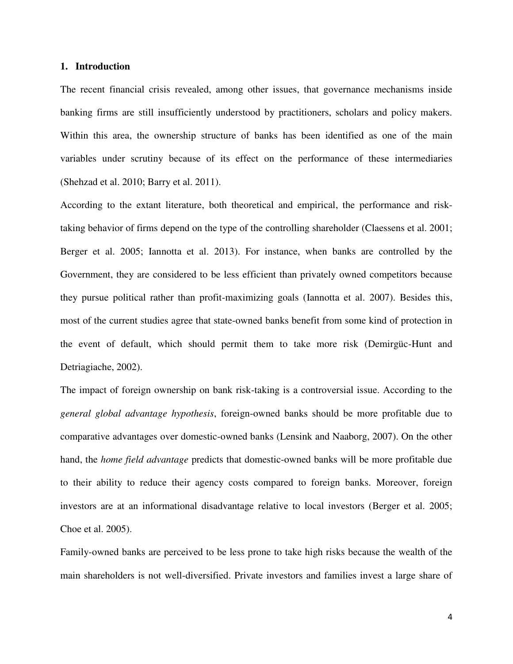### **1. Introduction**

The recent financial crisis revealed, among other issues, that governance mechanisms inside banking firms are still insufficiently understood by practitioners, scholars and policy makers. Within this area, the ownership structure of banks has been identified as one of the main variables under scrutiny because of its effect on the performance of these intermediaries (Shehzad et al. 2010; Barry et al. 2011).

According to the extant literature, both theoretical and empirical, the performance and risktaking behavior of firms depend on the type of the controlling shareholder (Claessens et al. 2001; Berger et al. 2005; Iannotta et al. 2013). For instance, when banks are controlled by the Government, they are considered to be less efficient than privately owned competitors because they pursue political rather than profit-maximizing goals (Iannotta et al. 2007). Besides this, most of the current studies agree that state-owned banks benefit from some kind of protection in the event of default, which should permit them to take more risk (Demirgüc-Hunt and Detriagiache, 2002).

The impact of foreign ownership on bank risk-taking is a controversial issue. According to the *general global advantage hypothesis*, foreign-owned banks should be more profitable due to comparative advantages over domestic-owned banks (Lensink and Naaborg, 2007). On the other hand, the *home field advantage* predicts that domestic-owned banks will be more profitable due to their ability to reduce their agency costs compared to foreign banks. Moreover, foreign investors are at an informational disadvantage relative to local investors (Berger et al. 2005; Choe et al. 2005).

Family-owned banks are perceived to be less prone to take high risks because the wealth of the main shareholders is not well-diversified. Private investors and families invest a large share of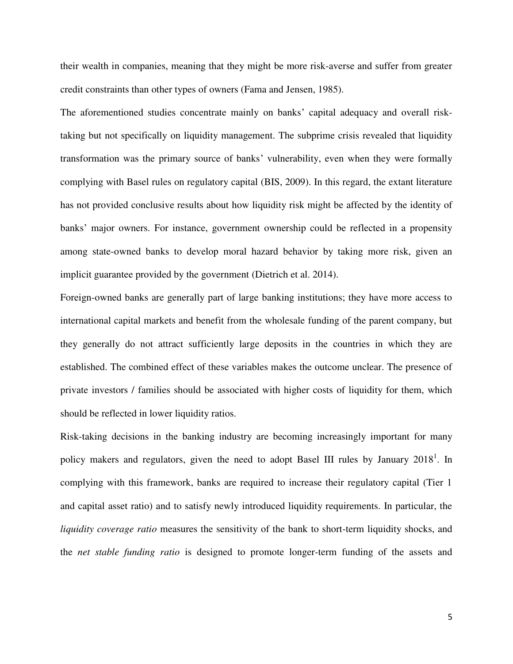their wealth in companies, meaning that they might be more risk-averse and suffer from greater credit constraints than other types of owners (Fama and Jensen, 1985).

The aforementioned studies concentrate mainly on banks' capital adequacy and overall risktaking but not specifically on liquidity management. The subprime crisis revealed that liquidity transformation was the primary source of banks' vulnerability, even when they were formally complying with Basel rules on regulatory capital (BIS, 2009). In this regard, the extant literature has not provided conclusive results about how liquidity risk might be affected by the identity of banks' major owners. For instance, government ownership could be reflected in a propensity among state-owned banks to develop moral hazard behavior by taking more risk, given an implicit guarantee provided by the government (Dietrich et al. 2014).

Foreign-owned banks are generally part of large banking institutions; they have more access to international capital markets and benefit from the wholesale funding of the parent company, but they generally do not attract sufficiently large deposits in the countries in which they are established. The combined effect of these variables makes the outcome unclear. The presence of private investors / families should be associated with higher costs of liquidity for them, which should be reflected in lower liquidity ratios.

Risk-taking decisions in the banking industry are becoming increasingly important for many policy makers and regulators, given the need to adopt Basel III rules by January  $2018^1$ . In complying with this framework, banks are required to increase their regulatory capital (Tier 1 and capital asset ratio) and to satisfy newly introduced liquidity requirements. In particular, the *liquidity coverage ratio* measures the sensitivity of the bank to short-term liquidity shocks, and the *net stable funding ratio* is designed to promote longer-term funding of the assets and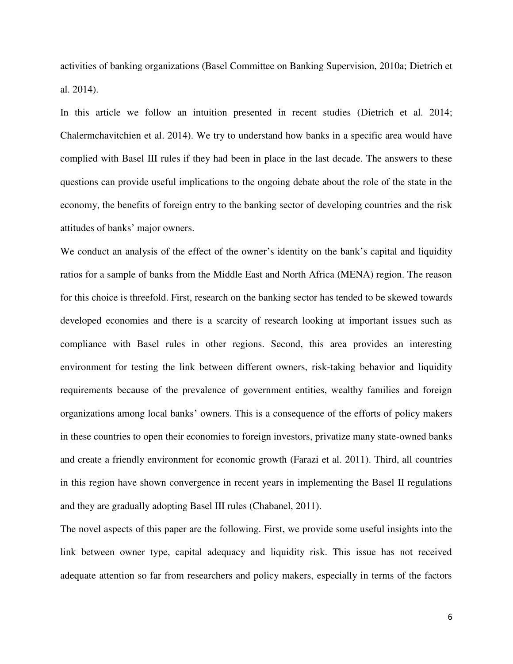activities of banking organizations (Basel Committee on Banking Supervision, 2010a; Dietrich et al. 2014).

In this article we follow an intuition presented in recent studies (Dietrich et al. 2014; Chalermchavitchien et al. 2014). We try to understand how banks in a specific area would have complied with Basel III rules if they had been in place in the last decade. The answers to these questions can provide useful implications to the ongoing debate about the role of the state in the economy, the benefits of foreign entry to the banking sector of developing countries and the risk attitudes of banks' major owners.

We conduct an analysis of the effect of the owner's identity on the bank's capital and liquidity ratios for a sample of banks from the Middle East and North Africa (MENA) region. The reason for this choice is threefold. First, research on the banking sector has tended to be skewed towards developed economies and there is a scarcity of research looking at important issues such as compliance with Basel rules in other regions. Second, this area provides an interesting environment for testing the link between different owners, risk-taking behavior and liquidity requirements because of the prevalence of government entities, wealthy families and foreign organizations among local banks' owners. This is a consequence of the efforts of policy makers in these countries to open their economies to foreign investors, privatize many state-owned banks and create a friendly environment for economic growth (Farazi et al. 2011). Third, all countries in this region have shown convergence in recent years in implementing the Basel II regulations and they are gradually adopting Basel III rules (Chabanel, 2011).

The novel aspects of this paper are the following. First, we provide some useful insights into the link between owner type, capital adequacy and liquidity risk. This issue has not received adequate attention so far from researchers and policy makers, especially in terms of the factors

6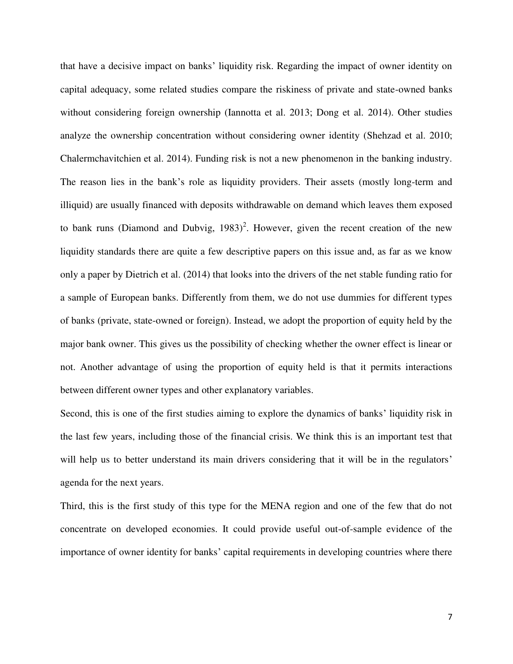that have a decisive impact on banks' liquidity risk. Regarding the impact of owner identity on capital adequacy, some related studies compare the riskiness of private and state-owned banks without considering foreign ownership (Iannotta et al. 2013; Dong et al. 2014). Other studies analyze the ownership concentration without considering owner identity (Shehzad et al. 2010; Chalermchavitchien et al. 2014). Funding risk is not a new phenomenon in the banking industry. The reason lies in the bank's role as liquidity providers. Their assets (mostly long-term and illiquid) are usually financed with deposits withdrawable on demand which leaves them exposed to bank runs (Diamond and Dubvig,  $1983$ )<sup>2</sup>. However, given the recent creation of the new liquidity standards there are quite a few descriptive papers on this issue and, as far as we know only a paper by Dietrich et al. (2014) that looks into the drivers of the net stable funding ratio for a sample of European banks. Differently from them, we do not use dummies for different types of banks (private, state-owned or foreign). Instead, we adopt the proportion of equity held by the major bank owner. This gives us the possibility of checking whether the owner effect is linear or not. Another advantage of using the proportion of equity held is that it permits interactions between different owner types and other explanatory variables.

Second, this is one of the first studies aiming to explore the dynamics of banks' liquidity risk in the last few years, including those of the financial crisis. We think this is an important test that will help us to better understand its main drivers considering that it will be in the regulators' agenda for the next years.

Third, this is the first study of this type for the MENA region and one of the few that do not concentrate on developed economies. It could provide useful out-of-sample evidence of the importance of owner identity for banks' capital requirements in developing countries where there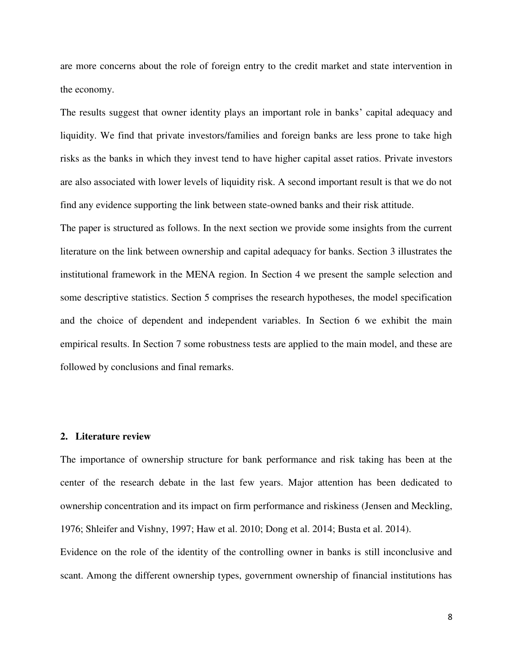are more concerns about the role of foreign entry to the credit market and state intervention in the economy.

The results suggest that owner identity plays an important role in banks' capital adequacy and liquidity. We find that private investors/families and foreign banks are less prone to take high risks as the banks in which they invest tend to have higher capital asset ratios. Private investors are also associated with lower levels of liquidity risk. A second important result is that we do not find any evidence supporting the link between state-owned banks and their risk attitude.

The paper is structured as follows. In the next section we provide some insights from the current literature on the link between ownership and capital adequacy for banks. Section 3 illustrates the institutional framework in the MENA region. In Section 4 we present the sample selection and some descriptive statistics. Section 5 comprises the research hypotheses, the model specification and the choice of dependent and independent variables. In Section 6 we exhibit the main empirical results. In Section 7 some robustness tests are applied to the main model, and these are followed by conclusions and final remarks.

### **2. Literature review**

The importance of ownership structure for bank performance and risk taking has been at the center of the research debate in the last few years. Major attention has been dedicated to ownership concentration and its impact on firm performance and riskiness (Jensen and Meckling, 1976; Shleifer and Vishny, 1997; Haw et al. 2010; Dong et al. 2014; Busta et al. 2014).

Evidence on the role of the identity of the controlling owner in banks is still inconclusive and scant. Among the different ownership types, government ownership of financial institutions has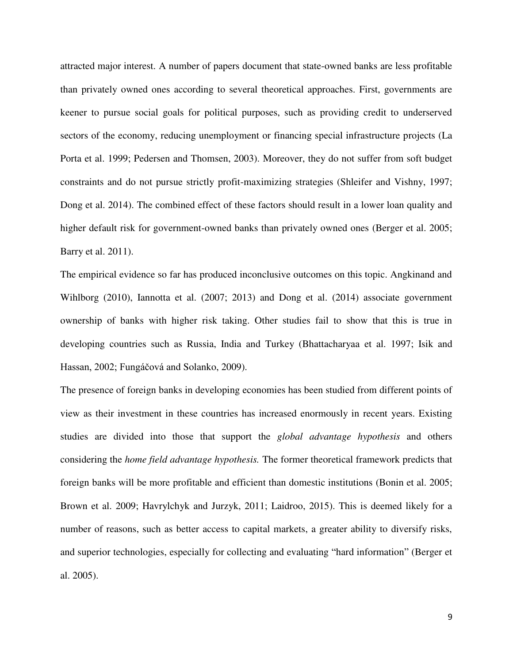attracted major interest. A number of papers document that state-owned banks are less profitable than privately owned ones according to several theoretical approaches. First, governments are keener to pursue social goals for political purposes, such as providing credit to underserved sectors of the economy, reducing unemployment or financing special infrastructure projects (La Porta et al. 1999; Pedersen and Thomsen, 2003). Moreover, they do not suffer from soft budget constraints and do not pursue strictly profit-maximizing strategies (Shleifer and Vishny, 1997; Dong et al. 2014). The combined effect of these factors should result in a lower loan quality and higher default risk for government-owned banks than privately owned ones (Berger et al. 2005; Barry et al. 2011).

The empirical evidence so far has produced inconclusive outcomes on this topic. Angkinand and Wihlborg (2010), Iannotta et al. (2007; 2013) and Dong et al. (2014) associate government ownership of banks with higher risk taking. Other studies fail to show that this is true in developing countries such as Russia, India and Turkey (Bhattacharyaa et al. 1997; Isik and Hassan, 2002; Fungáčová and Solanko, 2009).

The presence of foreign banks in developing economies has been studied from different points of view as their investment in these countries has increased enormously in recent years. Existing studies are divided into those that support the *global advantage hypothesis* and others considering the *home field advantage hypothesis.* The former theoretical framework predicts that foreign banks will be more profitable and efficient than domestic institutions (Bonin et al. 2005; Brown et al. 2009; Havrylchyk and Jurzyk, 2011; Laidroo, 2015). This is deemed likely for a number of reasons, such as better access to capital markets, a greater ability to diversify risks, and superior technologies, especially for collecting and evaluating "hard information" (Berger et al. 2005).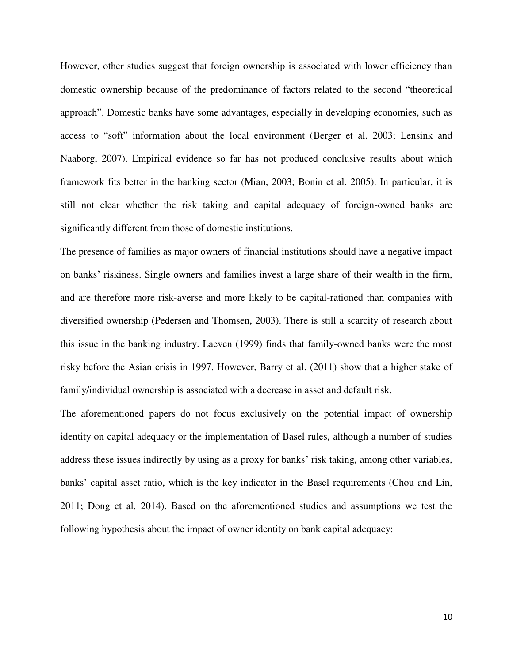However, other studies suggest that foreign ownership is associated with lower efficiency than domestic ownership because of the predominance of factors related to the second "theoretical approach". Domestic banks have some advantages, especially in developing economies, such as access to "soft" information about the local environment (Berger et al. 2003; Lensink and Naaborg, 2007). Empirical evidence so far has not produced conclusive results about which framework fits better in the banking sector (Mian, 2003; Bonin et al. 2005). In particular, it is still not clear whether the risk taking and capital adequacy of foreign-owned banks are significantly different from those of domestic institutions.

The presence of families as major owners of financial institutions should have a negative impact on banks' riskiness. Single owners and families invest a large share of their wealth in the firm, and are therefore more risk-averse and more likely to be capital-rationed than companies with diversified ownership (Pedersen and Thomsen, 2003). There is still a scarcity of research about this issue in the banking industry. Laeven (1999) finds that family-owned banks were the most risky before the Asian crisis in 1997. However, Barry et al. (2011) show that a higher stake of family/individual ownership is associated with a decrease in asset and default risk.

The aforementioned papers do not focus exclusively on the potential impact of ownership identity on capital adequacy or the implementation of Basel rules, although a number of studies address these issues indirectly by using as a proxy for banks' risk taking, among other variables, banks' capital asset ratio, which is the key indicator in the Basel requirements (Chou and Lin, 2011; Dong et al. 2014). Based on the aforementioned studies and assumptions we test the following hypothesis about the impact of owner identity on bank capital adequacy: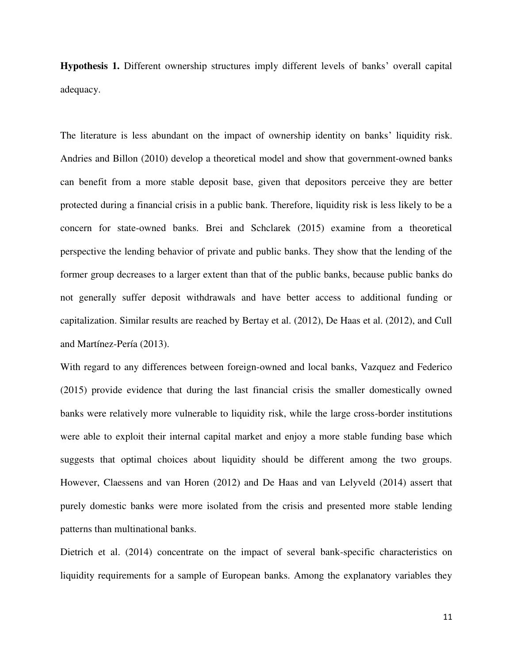**Hypothesis 1.** Different ownership structures imply different levels of banks' overall capital adequacy.

The literature is less abundant on the impact of ownership identity on banks' liquidity risk. Andries and Billon (2010) develop a theoretical model and show that government-owned banks can benefit from a more stable deposit base, given that depositors perceive they are better protected during a financial crisis in a public bank. Therefore, liquidity risk is less likely to be a concern for state-owned banks. Brei and Schclarek (2015) examine from a theoretical perspective the lending behavior of private and public banks. They show that the lending of the former group decreases to a larger extent than that of the public banks, because public banks do not generally suffer deposit withdrawals and have better access to additional funding or capitalization. Similar results are reached by Bertay et al. (2012), De Haas et al. (2012), and Cull and Martínez-Pería (2013).

With regard to any differences between foreign-owned and local banks, Vazquez and Federico (2015) provide evidence that during the last financial crisis the smaller domestically owned banks were relatively more vulnerable to liquidity risk, while the large cross-border institutions were able to exploit their internal capital market and enjoy a more stable funding base which suggests that optimal choices about liquidity should be different among the two groups. However, Claessens and van Horen (2012) and De Haas and van Lelyveld (2014) assert that purely domestic banks were more isolated from the crisis and presented more stable lending patterns than multinational banks.

Dietrich et al. (2014) concentrate on the impact of several bank-specific characteristics on liquidity requirements for a sample of European banks. Among the explanatory variables they

11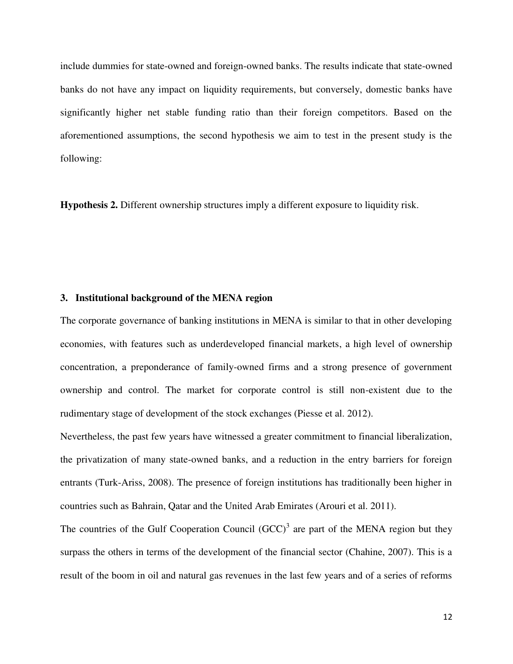include dummies for state-owned and foreign-owned banks. The results indicate that state-owned banks do not have any impact on liquidity requirements, but conversely, domestic banks have significantly higher net stable funding ratio than their foreign competitors. Based on the aforementioned assumptions, the second hypothesis we aim to test in the present study is the following:

**Hypothesis 2.** Different ownership structures imply a different exposure to liquidity risk.

#### **3. Institutional background of the MENA region**

The corporate governance of banking institutions in MENA is similar to that in other developing economies, with features such as underdeveloped financial markets, a high level of ownership concentration, a preponderance of family-owned firms and a strong presence of government ownership and control. The market for corporate control is still non-existent due to the rudimentary stage of development of the stock exchanges (Piesse et al. 2012).

Nevertheless, the past few years have witnessed a greater commitment to financial liberalization, the privatization of many state-owned banks, and a reduction in the entry barriers for foreign entrants (Turk-Ariss, 2008). The presence of foreign institutions has traditionally been higher in countries such as Bahrain, Qatar and the United Arab Emirates (Arouri et al. 2011).

The countries of the Gulf Cooperation Council  $(GCC)^3$  are part of the MENA region but they surpass the others in terms of the development of the financial sector (Chahine, 2007). This is a result of the boom in oil and natural gas revenues in the last few years and of a series of reforms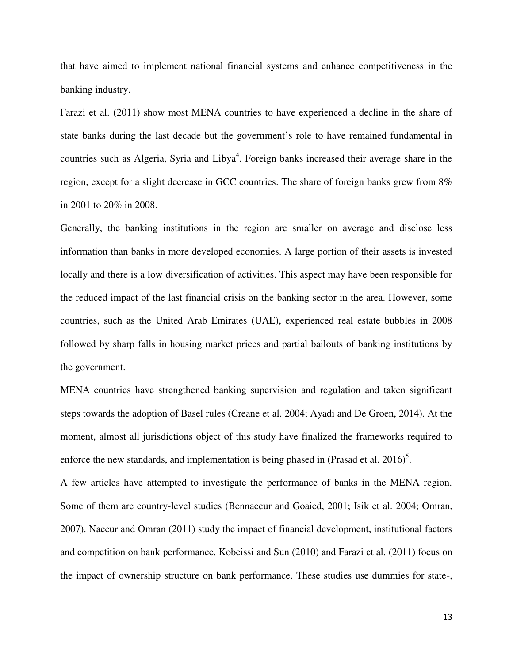that have aimed to implement national financial systems and enhance competitiveness in the banking industry.

Farazi et al. (2011) show most MENA countries to have experienced a decline in the share of state banks during the last decade but the government's role to have remained fundamental in countries such as Algeria, Syria and Libya<sup>4</sup>. Foreign banks increased their average share in the region, except for a slight decrease in GCC countries. The share of foreign banks grew from 8% in 2001 to 20% in 2008.

Generally, the banking institutions in the region are smaller on average and disclose less information than banks in more developed economies. A large portion of their assets is invested locally and there is a low diversification of activities. This aspect may have been responsible for the reduced impact of the last financial crisis on the banking sector in the area. However, some countries, such as the United Arab Emirates (UAE), experienced real estate bubbles in 2008 followed by sharp falls in housing market prices and partial bailouts of banking institutions by the government.

MENA countries have strengthened banking supervision and regulation and taken significant steps towards the adoption of Basel rules (Creane et al. 2004; Ayadi and De Groen, 2014). At the moment, almost all jurisdictions object of this study have finalized the frameworks required to enforce the new standards, and implementation is being phased in (Prasad et al. 2016)<sup>5</sup>.

A few articles have attempted to investigate the performance of banks in the MENA region. Some of them are country-level studies (Bennaceur and Goaied, 2001; Isik et al. 2004; Omran, 2007). Naceur and Omran (2011) study the impact of financial development, institutional factors and competition on bank performance. Kobeissi and Sun (2010) and Farazi et al. (2011) focus on the impact of ownership structure on bank performance. These studies use dummies for state-,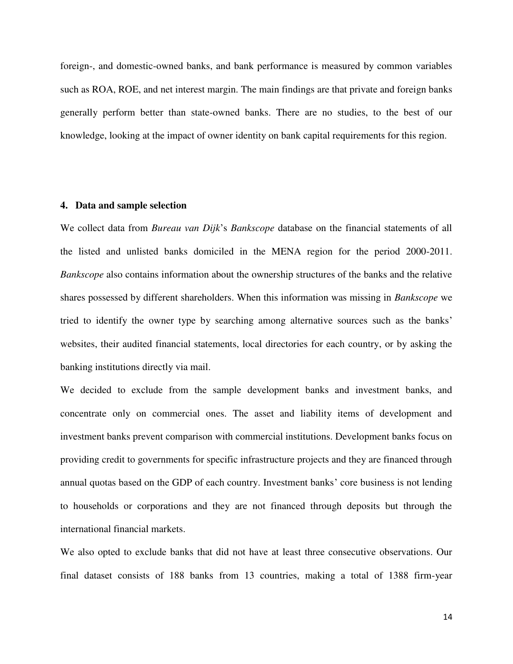foreign-, and domestic-owned banks, and bank performance is measured by common variables such as ROA, ROE, and net interest margin. The main findings are that private and foreign banks generally perform better than state-owned banks. There are no studies, to the best of our knowledge, looking at the impact of owner identity on bank capital requirements for this region.

# **4. Data and sample selection**

We collect data from *Bureau van Dijk*'s *Bankscope* database on the financial statements of all the listed and unlisted banks domiciled in the MENA region for the period 2000-2011. *Bankscope* also contains information about the ownership structures of the banks and the relative shares possessed by different shareholders. When this information was missing in *Bankscope* we tried to identify the owner type by searching among alternative sources such as the banks' websites, their audited financial statements, local directories for each country, or by asking the banking institutions directly via mail.

We decided to exclude from the sample development banks and investment banks, and concentrate only on commercial ones. The asset and liability items of development and investment banks prevent comparison with commercial institutions. Development banks focus on providing credit to governments for specific infrastructure projects and they are financed through annual quotas based on the GDP of each country. Investment banks' core business is not lending to households or corporations and they are not financed through deposits but through the international financial markets.

We also opted to exclude banks that did not have at least three consecutive observations. Our final dataset consists of 188 banks from 13 countries, making a total of 1388 firm-year

14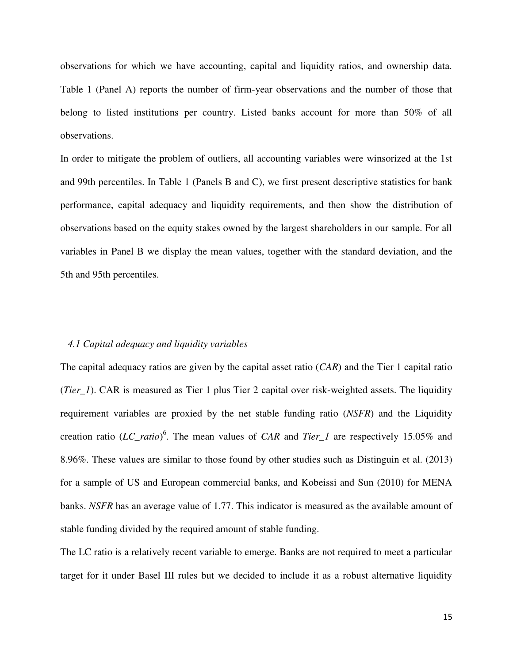observations for which we have accounting, capital and liquidity ratios, and ownership data. Table 1 (Panel A) reports the number of firm-year observations and the number of those that belong to listed institutions per country. Listed banks account for more than 50% of all observations.

In order to mitigate the problem of outliers, all accounting variables were winsorized at the 1st and 99th percentiles. In Table 1 (Panels B and C), we first present descriptive statistics for bank performance, capital adequacy and liquidity requirements, and then show the distribution of observations based on the equity stakes owned by the largest shareholders in our sample. For all variables in Panel B we display the mean values, together with the standard deviation, and the 5th and 95th percentiles.

# *4.1 Capital adequacy and liquidity variables*

The capital adequacy ratios are given by the capital asset ratio (*CAR*) and the Tier 1 capital ratio (*Tier\_1*). CAR is measured as Tier 1 plus Tier 2 capital over risk-weighted assets. The liquidity requirement variables are proxied by the net stable funding ratio (*NSFR*) and the Liquidity creation ratio (*LC\_ratio*) 6 . The mean values of *CAR* and *Tier\_1* are respectively 15.05% and 8.96%. These values are similar to those found by other studies such as Distinguin et al. (2013) for a sample of US and European commercial banks, and Kobeissi and Sun (2010) for MENA banks. *NSFR* has an average value of 1.77. This indicator is measured as the available amount of stable funding divided by the required amount of stable funding.

The LC ratio is a relatively recent variable to emerge. Banks are not required to meet a particular target for it under Basel III rules but we decided to include it as a robust alternative liquidity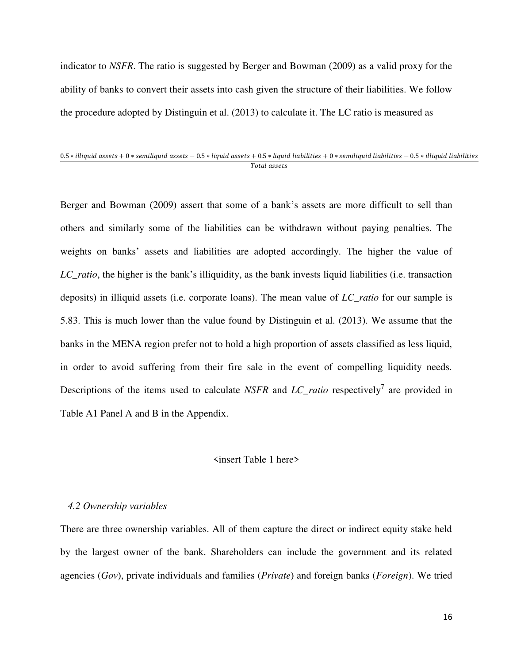indicator to *NSFR*. The ratio is suggested by Berger and Bowman (2009) as a valid proxy for the ability of banks to convert their assets into cash given the structure of their liabilities. We follow the procedure adopted by Distinguin et al. (2013) to calculate it. The LC ratio is measured as

#### $0.5 * illiquid$  assets + 0  $*$  semiliquid assets  $-0.5 * liquid$  assets +  $0.5 * liquid$  liabilities + 0  $*$  semiliquid liabilities  $-0.5 * illiquid$  liabilities Total assets

Berger and Bowman (2009) assert that some of a bank's assets are more difficult to sell than others and similarly some of the liabilities can be withdrawn without paying penalties. The weights on banks' assets and liabilities are adopted accordingly. The higher the value of *LC\_ratio*, the higher is the bank's illiquidity, as the bank invests liquid liabilities (i.e. transaction deposits) in illiquid assets (i.e. corporate loans). The mean value of *LC\_ratio* for our sample is 5.83. This is much lower than the value found by Distinguin et al. (2013). We assume that the banks in the MENA region prefer not to hold a high proportion of assets classified as less liquid, in order to avoid suffering from their fire sale in the event of compelling liquidity needs. Descriptions of the items used to calculate *NSFR* and  $LC\_ratio$  respectively<sup>7</sup> are provided in Table A1 Panel A and B in the Appendix.

### <insert Table 1 here>

#### *4.2 Ownership variables*

There are three ownership variables. All of them capture the direct or indirect equity stake held by the largest owner of the bank. Shareholders can include the government and its related agencies (*Gov*), private individuals and families (*Private*) and foreign banks (*Foreign*). We tried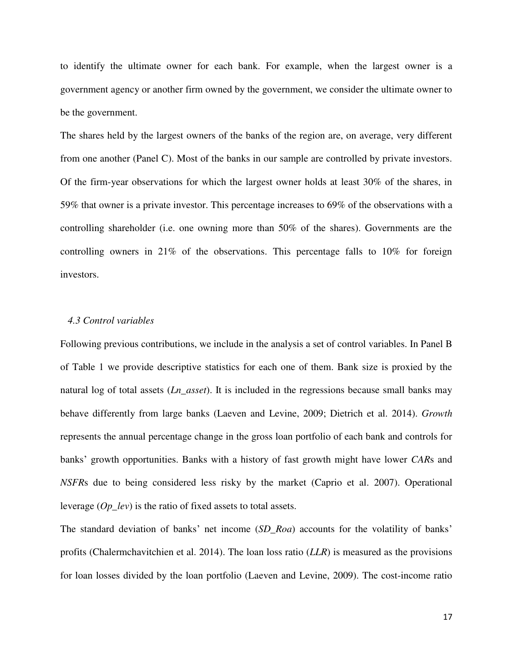to identify the ultimate owner for each bank. For example, when the largest owner is a government agency or another firm owned by the government, we consider the ultimate owner to be the government.

The shares held by the largest owners of the banks of the region are, on average, very different from one another (Panel C). Most of the banks in our sample are controlled by private investors. Of the firm-year observations for which the largest owner holds at least 30% of the shares, in 59% that owner is a private investor. This percentage increases to 69% of the observations with a controlling shareholder (i.e. one owning more than 50% of the shares). Governments are the controlling owners in 21% of the observations. This percentage falls to 10% for foreign investors.

# *4.3 Control variables*

Following previous contributions, we include in the analysis a set of control variables. In Panel B of Table 1 we provide descriptive statistics for each one of them. Bank size is proxied by the natural log of total assets (*Ln\_asset*). It is included in the regressions because small banks may behave differently from large banks (Laeven and Levine, 2009; Dietrich et al. 2014). *Growth* represents the annual percentage change in the gross loan portfolio of each bank and controls for banks' growth opportunities. Banks with a history of fast growth might have lower *CAR*s and *NSFR*s due to being considered less risky by the market (Caprio et al. 2007). Operational leverage (*Op\_lev*) is the ratio of fixed assets to total assets.

The standard deviation of banks' net income (*SD\_Roa*) accounts for the volatility of banks' profits (Chalermchavitchien et al. 2014). The loan loss ratio (*LLR*) is measured as the provisions for loan losses divided by the loan portfolio (Laeven and Levine, 2009). The cost-income ratio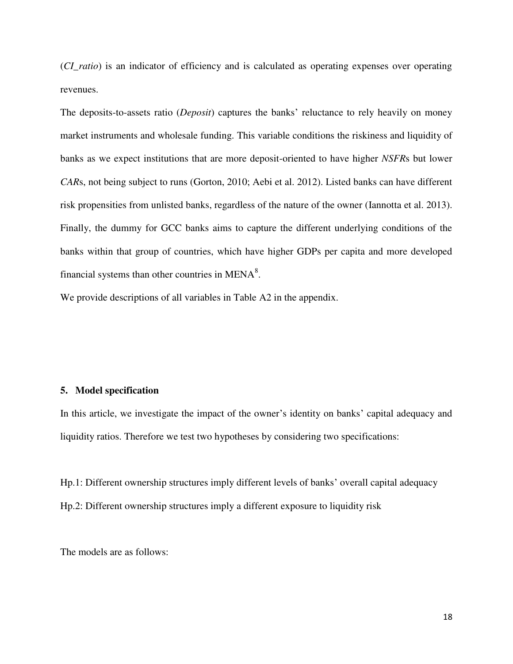(*CI\_ratio*) is an indicator of efficiency and is calculated as operating expenses over operating revenues.

The deposits-to-assets ratio (*Deposit*) captures the banks' reluctance to rely heavily on money market instruments and wholesale funding. This variable conditions the riskiness and liquidity of banks as we expect institutions that are more deposit-oriented to have higher *NSFR*s but lower *CAR*s, not being subject to runs (Gorton, 2010; Aebi et al. 2012). Listed banks can have different risk propensities from unlisted banks, regardless of the nature of the owner (Iannotta et al. 2013). Finally, the dummy for GCC banks aims to capture the different underlying conditions of the banks within that group of countries, which have higher GDPs per capita and more developed financial systems than other countries in MENA $8$ .

We provide descriptions of all variables in Table A2 in the appendix.

# **5. Model specification**

In this article, we investigate the impact of the owner's identity on banks' capital adequacy and liquidity ratios. Therefore we test two hypotheses by considering two specifications:

Hp.1: Different ownership structures imply different levels of banks' overall capital adequacy Hp.2: Different ownership structures imply a different exposure to liquidity risk

The models are as follows: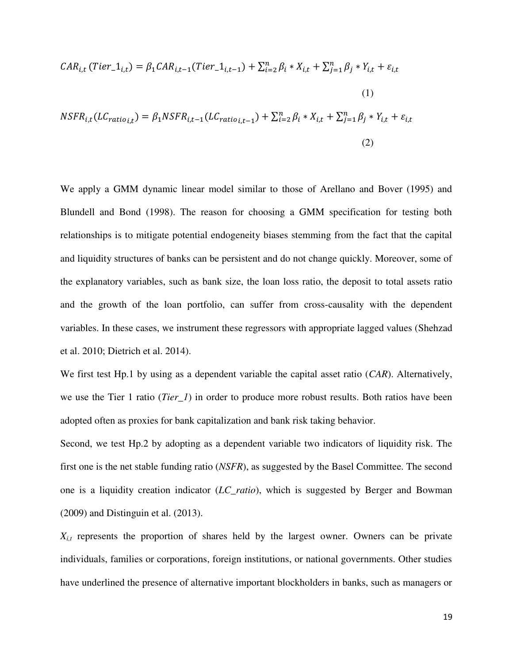$$
CAR_{i,t} (Tier_1_{i,t}) = \beta_1 CAR_{i,t-1} (Tier_1_{i,t-1}) + \sum_{i=2}^n \beta_i * X_{i,t} + \sum_{j=1}^n \beta_j * Y_{i,t} + \varepsilon_{i,t}
$$
  
(1)  

$$
NSFR_{i,t} (LC_{ratio_{i,t}}) = \beta_1 NSF_{i,t-1} (LC_{ratio_{i,t-1}}) + \sum_{i=2}^n \beta_i * X_{i,t} + \sum_{j=1}^n \beta_j * Y_{i,t} + \varepsilon_{i,t}
$$
  
(2)

We apply a GMM dynamic linear model similar to those of Arellano and Bover (1995) and Blundell and Bond (1998). The reason for choosing a GMM specification for testing both relationships is to mitigate potential endogeneity biases stemming from the fact that the capital and liquidity structures of banks can be persistent and do not change quickly. Moreover, some of the explanatory variables, such as bank size, the loan loss ratio, the deposit to total assets ratio and the growth of the loan portfolio, can suffer from cross-causality with the dependent variables. In these cases, we instrument these regressors with appropriate lagged values (Shehzad et al. 2010; Dietrich et al. 2014).

We first test Hp.1 by using as a dependent variable the capital asset ratio (*CAR*). Alternatively, we use the Tier 1 ratio (*Tier\_1*) in order to produce more robust results. Both ratios have been adopted often as proxies for bank capitalization and bank risk taking behavior.

Second, we test Hp.2 by adopting as a dependent variable two indicators of liquidity risk. The first one is the net stable funding ratio (*NSFR*), as suggested by the Basel Committee. The second one is a liquidity creation indicator (*LC\_ratio*), which is suggested by Berger and Bowman (2009) and Distinguin et al. (2013).

 $X_{i,t}$  represents the proportion of shares held by the largest owner. Owners can be private individuals, families or corporations, foreign institutions, or national governments. Other studies have underlined the presence of alternative important blockholders in banks, such as managers or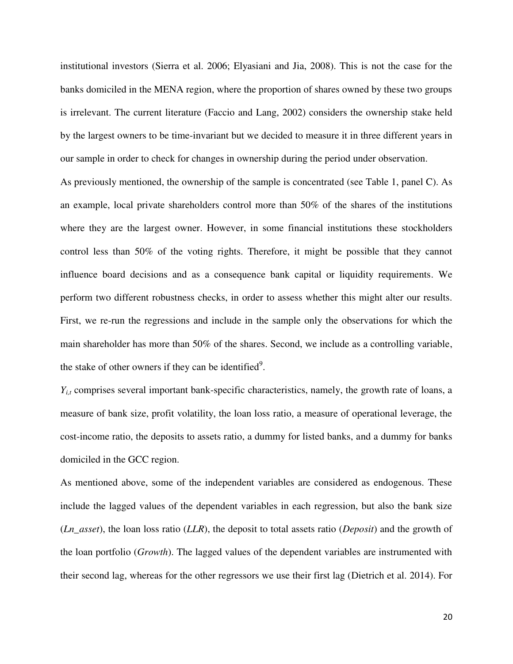institutional investors (Sierra et al. 2006; Elyasiani and Jia, 2008). This is not the case for the banks domiciled in the MENA region, where the proportion of shares owned by these two groups is irrelevant. The current literature (Faccio and Lang, 2002) considers the ownership stake held by the largest owners to be time-invariant but we decided to measure it in three different years in our sample in order to check for changes in ownership during the period under observation.

As previously mentioned, the ownership of the sample is concentrated (see Table 1, panel C). As an example, local private shareholders control more than 50% of the shares of the institutions where they are the largest owner. However, in some financial institutions these stockholders control less than 50% of the voting rights. Therefore, it might be possible that they cannot influence board decisions and as a consequence bank capital or liquidity requirements. We perform two different robustness checks, in order to assess whether this might alter our results. First, we re-run the regressions and include in the sample only the observations for which the main shareholder has more than 50% of the shares. Second, we include as a controlling variable, the stake of other owners if they can be identified<sup>9</sup>.

*Y*<sub>*i,t*</sub> comprises several important bank-specific characteristics, namely, the growth rate of loans, a measure of bank size, profit volatility, the loan loss ratio, a measure of operational leverage, the cost-income ratio, the deposits to assets ratio, a dummy for listed banks, and a dummy for banks domiciled in the GCC region.

As mentioned above, some of the independent variables are considered as endogenous. These include the lagged values of the dependent variables in each regression, but also the bank size (*Ln\_asset*), the loan loss ratio (*LLR*), the deposit to total assets ratio (*Deposit*) and the growth of the loan portfolio (*Growth*). The lagged values of the dependent variables are instrumented with their second lag, whereas for the other regressors we use their first lag (Dietrich et al. 2014). For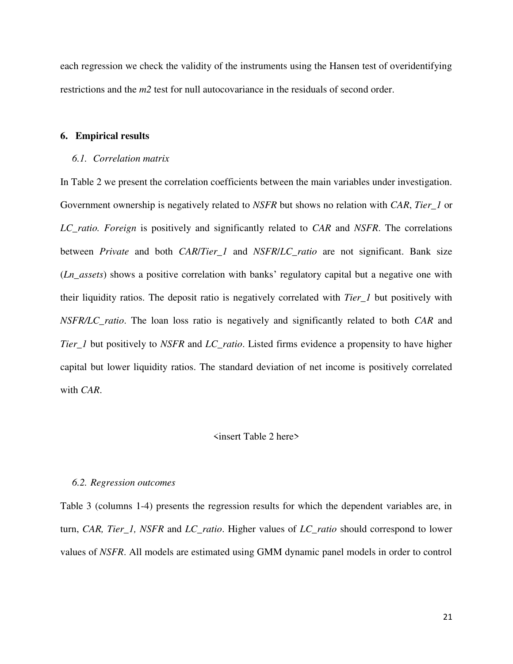each regression we check the validity of the instruments using the Hansen test of overidentifying restrictions and the *m2* test for null autocovariance in the residuals of second order.

# **6. Empirical results**

#### *6.1. Correlation matrix*

In Table 2 we present the correlation coefficients between the main variables under investigation. Government ownership is negatively related to *NSFR* but shows no relation with *CAR*, *Tier\_1* or *LC\_ratio. Foreign* is positively and significantly related to *CAR* and *NSFR*. The correlations between *Private* and both *CAR*/*Tier\_1* and *NSFR*/*LC\_ratio* are not significant. Bank size (*Ln\_assets*) shows a positive correlation with banks' regulatory capital but a negative one with their liquidity ratios. The deposit ratio is negatively correlated with *Tier\_1* but positively with *NSFR/LC\_ratio*. The loan loss ratio is negatively and significantly related to both *CAR* and *Tier\_1* but positively to *NSFR* and *LC\_ratio*. Listed firms evidence a propensity to have higher capital but lower liquidity ratios. The standard deviation of net income is positively correlated with *CAR*.

#### <insert Table 2 here>

#### *6.2. Regression outcomes*

Table 3 (columns 1-4) presents the regression results for which the dependent variables are, in turn, *CAR, Tier\_1, NSFR* and *LC\_ratio*. Higher values of *LC\_ratio* should correspond to lower values of *NSFR*. All models are estimated using GMM dynamic panel models in order to control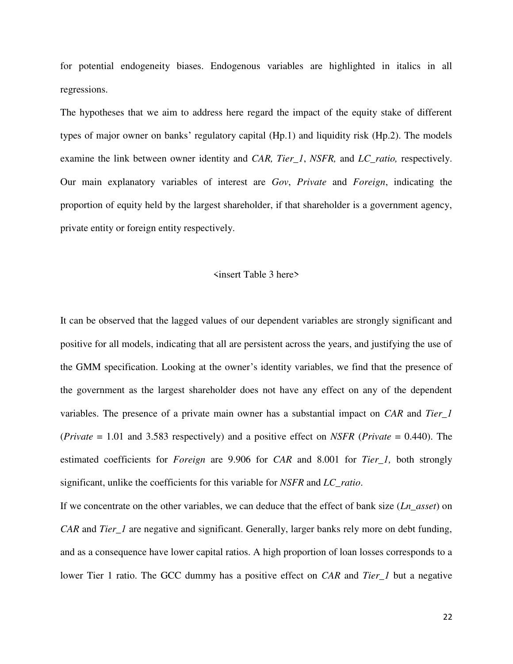for potential endogeneity biases. Endogenous variables are highlighted in italics in all regressions.

The hypotheses that we aim to address here regard the impact of the equity stake of different types of major owner on banks' regulatory capital (Hp.1) and liquidity risk (Hp.2). The models examine the link between owner identity and *CAR, Tier\_1*, *NSFR,* and *LC\_ratio,* respectively. Our main explanatory variables of interest are *Gov*, *Private* and *Foreign*, indicating the proportion of equity held by the largest shareholder, if that shareholder is a government agency, private entity or foreign entity respectively.

#### <insert Table 3 here>

It can be observed that the lagged values of our dependent variables are strongly significant and positive for all models, indicating that all are persistent across the years, and justifying the use of the GMM specification. Looking at the owner's identity variables, we find that the presence of the government as the largest shareholder does not have any effect on any of the dependent variables. The presence of a private main owner has a substantial impact on *CAR* and *Tier\_1* (*Private* = 1.01 and 3.583 respectively) and a positive effect on *NSFR* (*Private* = 0.440). The estimated coefficients for *Foreign* are 9.906 for *CAR* and 8.001 for *Tier\_1,* both strongly significant, unlike the coefficients for this variable for *NSFR* and *LC\_ratio*.

If we concentrate on the other variables, we can deduce that the effect of bank size (*Ln\_asset*) on *CAR* and *Tier\_1* are negative and significant. Generally, larger banks rely more on debt funding, and as a consequence have lower capital ratios. A high proportion of loan losses corresponds to a lower Tier 1 ratio. The GCC dummy has a positive effect on *CAR* and *Tier\_1* but a negative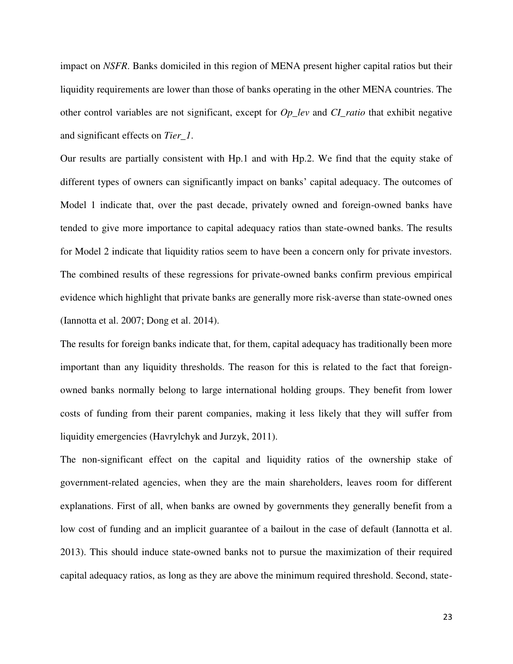impact on *NSFR*. Banks domiciled in this region of MENA present higher capital ratios but their liquidity requirements are lower than those of banks operating in the other MENA countries. The other control variables are not significant, except for *Op\_lev* and *CI\_ratio* that exhibit negative and significant effects on *Tier\_1*.

Our results are partially consistent with Hp.1 and with Hp.2. We find that the equity stake of different types of owners can significantly impact on banks' capital adequacy. The outcomes of Model 1 indicate that, over the past decade, privately owned and foreign-owned banks have tended to give more importance to capital adequacy ratios than state-owned banks. The results for Model 2 indicate that liquidity ratios seem to have been a concern only for private investors. The combined results of these regressions for private-owned banks confirm previous empirical evidence which highlight that private banks are generally more risk-averse than state-owned ones (Iannotta et al. 2007; Dong et al. 2014).

The results for foreign banks indicate that, for them, capital adequacy has traditionally been more important than any liquidity thresholds. The reason for this is related to the fact that foreignowned banks normally belong to large international holding groups. They benefit from lower costs of funding from their parent companies, making it less likely that they will suffer from liquidity emergencies (Havrylchyk and Jurzyk, 2011).

The non-significant effect on the capital and liquidity ratios of the ownership stake of government-related agencies, when they are the main shareholders, leaves room for different explanations. First of all, when banks are owned by governments they generally benefit from a low cost of funding and an implicit guarantee of a bailout in the case of default (Iannotta et al. 2013). This should induce state-owned banks not to pursue the maximization of their required capital adequacy ratios, as long as they are above the minimum required threshold. Second, state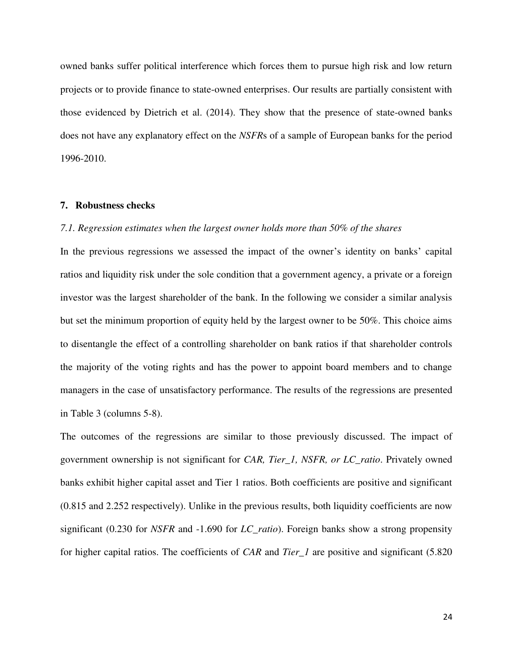owned banks suffer political interference which forces them to pursue high risk and low return projects or to provide finance to state-owned enterprises. Our results are partially consistent with those evidenced by Dietrich et al. (2014). They show that the presence of state-owned banks does not have any explanatory effect on the *NSFR*s of a sample of European banks for the period 1996-2010.

#### **7. Robustness checks**

#### *7.1. Regression estimates when the largest owner holds more than 50% of the shares*

In the previous regressions we assessed the impact of the owner's identity on banks' capital ratios and liquidity risk under the sole condition that a government agency, a private or a foreign investor was the largest shareholder of the bank. In the following we consider a similar analysis but set the minimum proportion of equity held by the largest owner to be 50%. This choice aims to disentangle the effect of a controlling shareholder on bank ratios if that shareholder controls the majority of the voting rights and has the power to appoint board members and to change managers in the case of unsatisfactory performance. The results of the regressions are presented in Table 3 (columns 5-8).

The outcomes of the regressions are similar to those previously discussed. The impact of government ownership is not significant for *CAR, Tier\_1, NSFR, or LC\_ratio*. Privately owned banks exhibit higher capital asset and Tier 1 ratios. Both coefficients are positive and significant (0.815 and 2.252 respectively). Unlike in the previous results, both liquidity coefficients are now significant (0.230 for *NSFR* and -1.690 for *LC\_ratio*). Foreign banks show a strong propensity for higher capital ratios. The coefficients of *CAR* and *Tier\_1* are positive and significant (5.820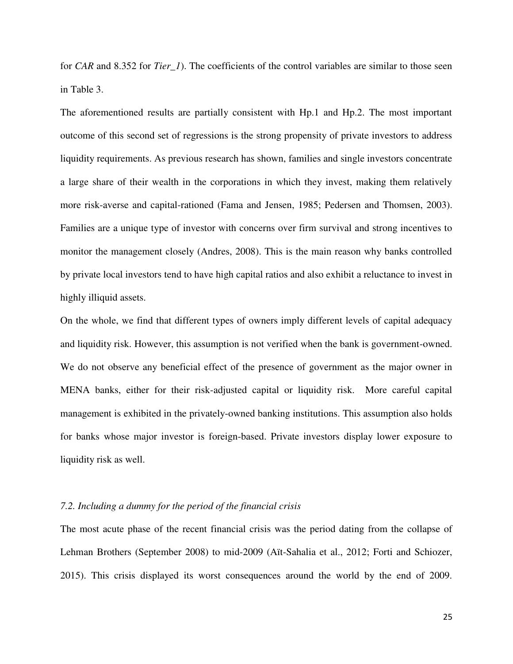for *CAR* and 8.352 for *Tier\_1*). The coefficients of the control variables are similar to those seen in Table 3.

The aforementioned results are partially consistent with Hp.1 and Hp.2. The most important outcome of this second set of regressions is the strong propensity of private investors to address liquidity requirements. As previous research has shown, families and single investors concentrate a large share of their wealth in the corporations in which they invest, making them relatively more risk-averse and capital-rationed (Fama and Jensen, 1985; Pedersen and Thomsen, 2003). Families are a unique type of investor with concerns over firm survival and strong incentives to monitor the management closely (Andres, 2008). This is the main reason why banks controlled by private local investors tend to have high capital ratios and also exhibit a reluctance to invest in highly illiquid assets.

On the whole, we find that different types of owners imply different levels of capital adequacy and liquidity risk. However, this assumption is not verified when the bank is government-owned. We do not observe any beneficial effect of the presence of government as the major owner in MENA banks, either for their risk-adjusted capital or liquidity risk. More careful capital management is exhibited in the privately-owned banking institutions. This assumption also holds for banks whose major investor is foreign-based. Private investors display lower exposure to liquidity risk as well.

# *7.2. Including a dummy for the period of the financial crisis*

The most acute phase of the recent financial crisis was the period dating from the collapse of Lehman Brothers (September 2008) to mid-2009 (Aït-Sahalia et al., 2012; Forti and Schiozer, 2015). This crisis displayed its worst consequences around the world by the end of 2009.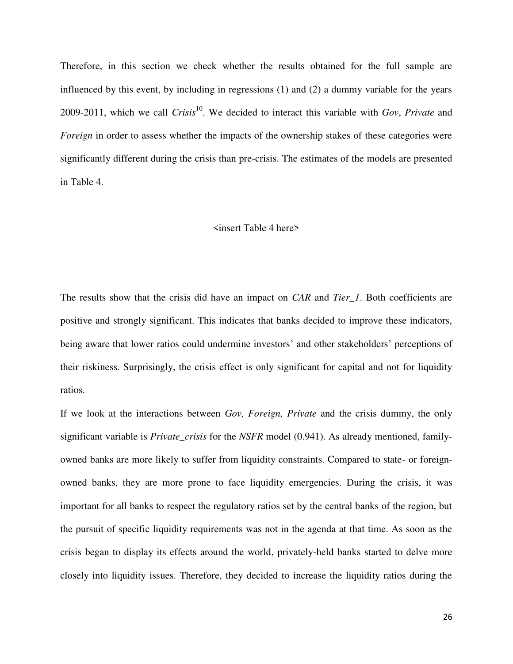Therefore, in this section we check whether the results obtained for the full sample are influenced by this event, by including in regressions (1) and (2) a dummy variable for the years 2009-2011, which we call *Crisis*<sup>10</sup> . We decided to interact this variable with *Gov*, *Private* and *Foreign* in order to assess whether the impacts of the ownership stakes of these categories were significantly different during the crisis than pre-crisis. The estimates of the models are presented in Table 4.

#### <insert Table 4 here>

The results show that the crisis did have an impact on *CAR* and *Tier\_1*. Both coefficients are positive and strongly significant. This indicates that banks decided to improve these indicators, being aware that lower ratios could undermine investors' and other stakeholders' perceptions of their riskiness. Surprisingly, the crisis effect is only significant for capital and not for liquidity ratios.

If we look at the interactions between *Gov, Foreign, Private* and the crisis dummy, the only significant variable is *Private\_crisis* for the *NSFR* model (0.941). As already mentioned, familyowned banks are more likely to suffer from liquidity constraints. Compared to state- or foreignowned banks, they are more prone to face liquidity emergencies. During the crisis, it was important for all banks to respect the regulatory ratios set by the central banks of the region, but the pursuit of specific liquidity requirements was not in the agenda at that time. As soon as the crisis began to display its effects around the world, privately-held banks started to delve more closely into liquidity issues. Therefore, they decided to increase the liquidity ratios during the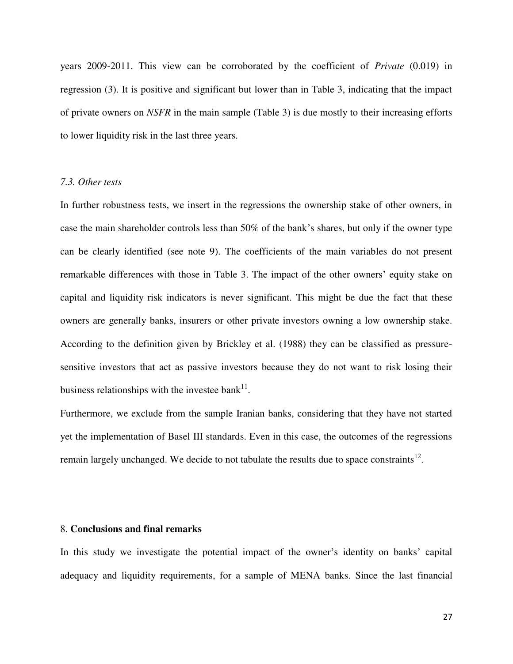years 2009-2011. This view can be corroborated by the coefficient of *Private* (0.019) in regression (3). It is positive and significant but lower than in Table 3, indicating that the impact of private owners on *NSFR* in the main sample (Table 3) is due mostly to their increasing efforts to lower liquidity risk in the last three years.

# *7.3. Other tests*

In further robustness tests, we insert in the regressions the ownership stake of other owners, in case the main shareholder controls less than 50% of the bank's shares, but only if the owner type can be clearly identified (see note 9). The coefficients of the main variables do not present remarkable differences with those in Table 3. The impact of the other owners' equity stake on capital and liquidity risk indicators is never significant. This might be due the fact that these owners are generally banks, insurers or other private investors owning a low ownership stake. According to the definition given by Brickley et al. (1988) they can be classified as pressuresensitive investors that act as passive investors because they do not want to risk losing their business relationships with the investee bank $^{11}$ .

Furthermore, we exclude from the sample Iranian banks, considering that they have not started yet the implementation of Basel III standards. Even in this case, the outcomes of the regressions remain largely unchanged. We decide to not tabulate the results due to space constraints<sup>12</sup>.

# 8. **Conclusions and final remarks**

In this study we investigate the potential impact of the owner's identity on banks' capital adequacy and liquidity requirements, for a sample of MENA banks. Since the last financial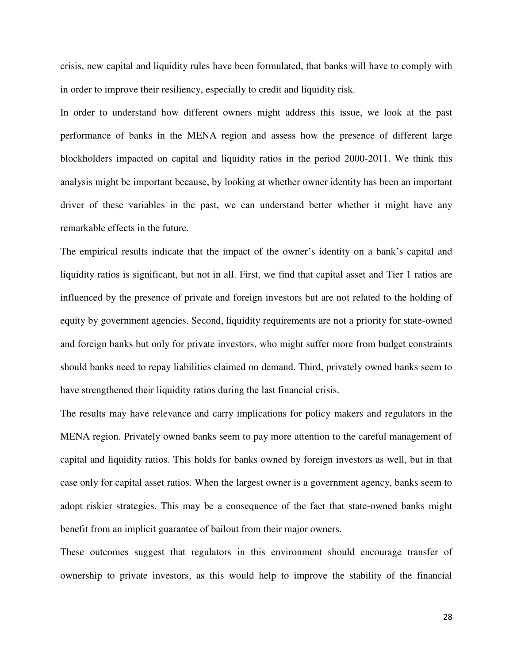crisis, new capital and liquidity rules have been formulated, that banks will have to comply with in order to improve their resiliency, especially to credit and liquidity risk.

In order to understand how different owners might address this issue, we look at the past performance of banks in the MENA region and assess how the presence of different large blockholders impacted on capital and liquidity ratios in the period 2000-2011. We think this analysis might be important because, by looking at whether owner identity has been an important driver of these variables in the past, we can understand better whether it might have any remarkable effects in the future.

The empirical results indicate that the impact of the owner's identity on a bank's capital and liquidity ratios is significant, but not in all. First, we find that capital asset and Tier 1 ratios are influenced by the presence of private and foreign investors but are not related to the holding of equity by government agencies. Second, liquidity requirements are not a priority for state-owned and foreign banks but only for private investors, who might suffer more from budget constraints should banks need to repay liabilities claimed on demand. Third, privately owned banks seem to have strengthened their liquidity ratios during the last financial crisis.

The results may have relevance and carry implications for policy makers and regulators in the MENA region. Privately owned banks seem to pay more attention to the careful management of capital and liquidity ratios. This holds for banks owned by foreign investors as well, but in that case only for capital asset ratios. When the largest owner is a government agency, banks seem to adopt riskier strategies. This may be a consequence of the fact that state-owned banks might benefit from an implicit guarantee of bailout from their major owners.

These outcomes suggest that regulators in this environment should encourage transfer of ownership to private investors, as this would help to improve the stability of the financial

28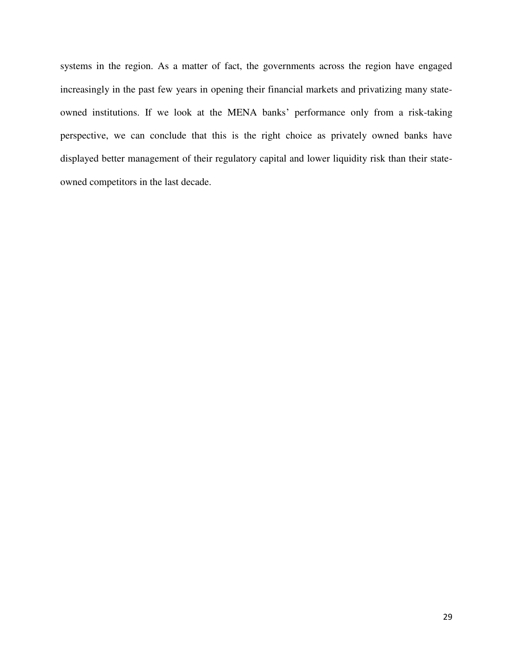systems in the region. As a matter of fact, the governments across the region have engaged increasingly in the past few years in opening their financial markets and privatizing many stateowned institutions. If we look at the MENA banks' performance only from a risk-taking perspective, we can conclude that this is the right choice as privately owned banks have displayed better management of their regulatory capital and lower liquidity risk than their stateowned competitors in the last decade.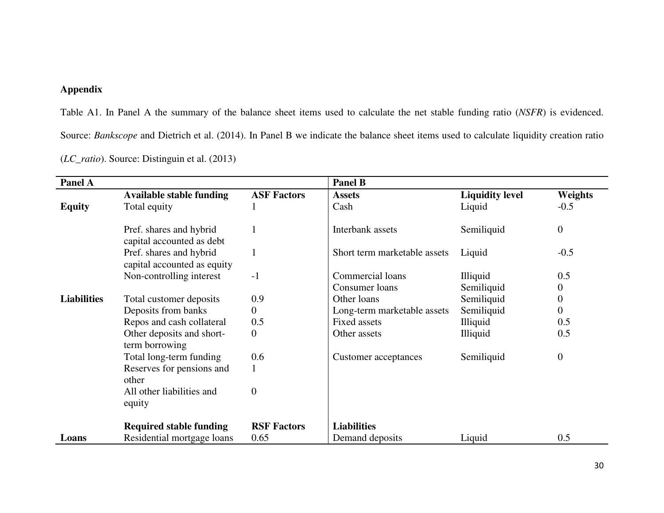# **Appendix**

Table A1. In Panel A the summary of the balance sheet items used to calculate the net stable funding ratio (*NSFR*) is evidenced. Source: *Bankscope* and Dietrich et al. (2014). In Panel B we indicate the balance sheet items used to calculate liquidity creation ratio (*LC\_ratio*). Source: Distinguin et al. (2013)

| Panel A            |                                                        |                    | <b>Panel B</b>               |                        |                  |
|--------------------|--------------------------------------------------------|--------------------|------------------------------|------------------------|------------------|
|                    | <b>Available stable funding</b>                        | <b>ASF Factors</b> | <b>Assets</b>                | <b>Liquidity level</b> | Weights          |
| <b>Equity</b>      | Total equity                                           |                    | Cash                         | Liquid                 | $-0.5$           |
|                    |                                                        |                    |                              |                        |                  |
|                    | Pref. shares and hybrid<br>capital accounted as debt   |                    | Interbank assets             | Semiliquid             | $\boldsymbol{0}$ |
|                    | Pref. shares and hybrid<br>capital accounted as equity |                    | Short term marketable assets | Liquid                 | $-0.5$           |
|                    | Non-controlling interest                               | $-1$               | Commercial loans             | Illiquid               | 0.5              |
|                    |                                                        |                    | Consumer loans               | Semiliquid             | $\boldsymbol{0}$ |
| <b>Liabilities</b> | Total customer deposits                                | 0.9                | Other loans                  | Semiliquid             | $\boldsymbol{0}$ |
|                    | Deposits from banks                                    | 0                  | Long-term marketable assets  | Semiliquid             | $\boldsymbol{0}$ |
|                    | Repos and cash collateral                              | 0.5                | <b>Fixed assets</b>          | <b>Illiquid</b>        | 0.5              |
|                    | Other deposits and short-<br>term borrowing            | $\boldsymbol{0}$   | Other assets                 | <b>Illiquid</b>        | 0.5              |
|                    | Total long-term funding                                | 0.6                | Customer acceptances         | Semiliquid             | $\theta$         |
|                    | Reserves for pensions and<br>other                     |                    |                              |                        |                  |
|                    | All other liabilities and<br>equity                    | $\overline{0}$     |                              |                        |                  |
|                    |                                                        |                    |                              |                        |                  |
|                    | <b>Required stable funding</b>                         | <b>RSF Factors</b> | <b>Liabilities</b>           |                        |                  |
| Loans              | Residential mortgage loans                             | 0.65               | Demand deposits              | Liquid                 | 0.5              |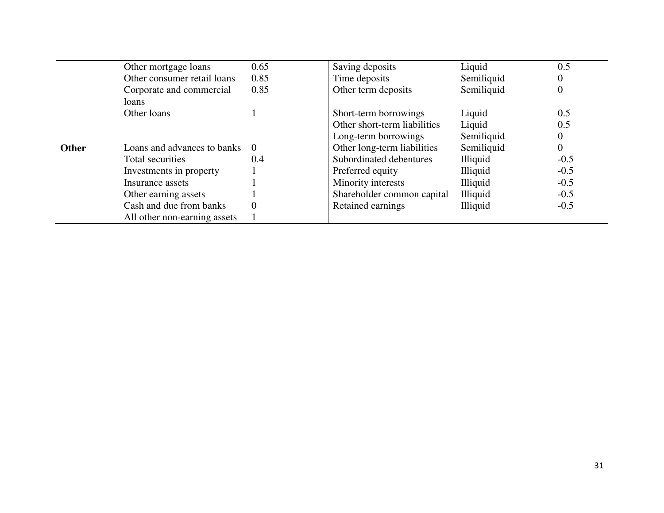|              | Other mortgage loans              | 0.65     | Saving deposits              | Liquid          | 0.5              |
|--------------|-----------------------------------|----------|------------------------------|-----------------|------------------|
|              | Other consumer retail loans       | 0.85     | Time deposits                | Semiliquid      | 0                |
|              | Corporate and commercial<br>loans | 0.85     | Other term deposits          | Semiliquid      | $\overline{0}$   |
|              | Other loans                       |          | Short-term borrowings        | Liquid          | 0.5              |
|              |                                   |          | Other short-term liabilities | Liquid          | 0.5              |
|              |                                   |          | Long-term borrowings         | Semiliquid      | $\boldsymbol{0}$ |
| <b>Other</b> | Loans and advances to banks       | $\Omega$ | Other long-term liabilities  | Semiliquid      | $\overline{0}$   |
|              | Total securities                  | 0.4      | Subordinated debentures      | <b>Illiquid</b> | $-0.5$           |
|              | Investments in property           |          | Preferred equity             | <b>Illiquid</b> | $-0.5$           |
|              | Insurance assets                  |          | Minority interests           | Illiquid        | $-0.5$           |
|              | Other earning assets              |          | Shareholder common capital   | <b>Illiquid</b> | $-0.5$           |
|              | Cash and due from banks           | $\theta$ | Retained earnings            | Illiquid        | $-0.5$           |
|              | All other non-earning assets      |          |                              |                 |                  |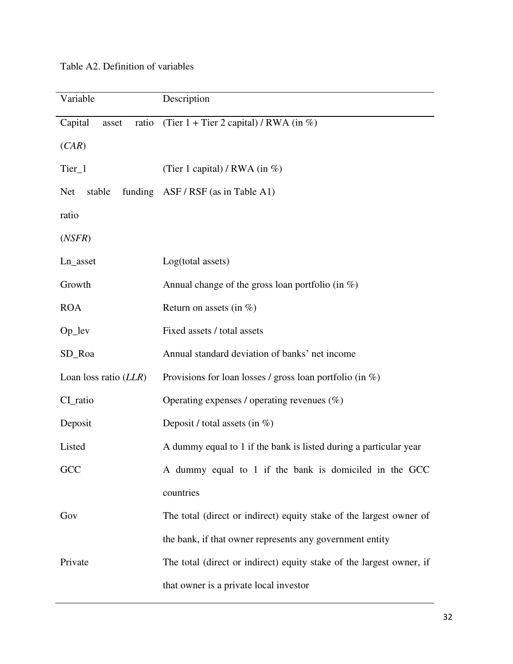| Table A2. Definition of variables |  |
|-----------------------------------|--|
|-----------------------------------|--|

| Variable                  | Description                                                          |  |  |
|---------------------------|----------------------------------------------------------------------|--|--|
| Capital<br>ratio<br>asset | (Tier $1 +$ Tier 2 capital) / RWA (in %)                             |  |  |
| (CAR)                     |                                                                      |  |  |
| Tier_1                    | (Tier 1 capital) / RWA (in $\%$ )                                    |  |  |
| stable<br><b>Net</b>      | funding ASF/RSF (as in Table A1)                                     |  |  |
| ratio                     |                                                                      |  |  |
| (NSFR)                    |                                                                      |  |  |
| Ln_asset                  | Log(total assets)                                                    |  |  |
| Growth                    | Annual change of the gross loan portfolio (in $\%$ )                 |  |  |
| <b>ROA</b>                | Return on assets (in $\%$ )                                          |  |  |
| $Op$ <sup>lev</sup>       | Fixed assets / total assets                                          |  |  |
| SD_Roa                    | Annual standard deviation of banks' net income                       |  |  |
| Loan loss ratio (LLR)     | Provisions for loan losses / gross loan portfolio (in $\%$ )         |  |  |
| CI_ratio                  | Operating expenses / operating revenues $(\%)$                       |  |  |
| Deposit                   | Deposit / total assets (in $\%$ )                                    |  |  |
| Listed                    | A dummy equal to 1 if the bank is listed during a particular year    |  |  |
| GCC                       | A dummy equal to 1 if the bank is domiciled in the GCC               |  |  |
|                           | countries                                                            |  |  |
| Gov                       | The total (direct or indirect) equity stake of the largest owner of  |  |  |
|                           | the bank, if that owner represents any government entity             |  |  |
| Private                   | The total (direct or indirect) equity stake of the largest owner, if |  |  |
|                           | that owner is a private local investor                               |  |  |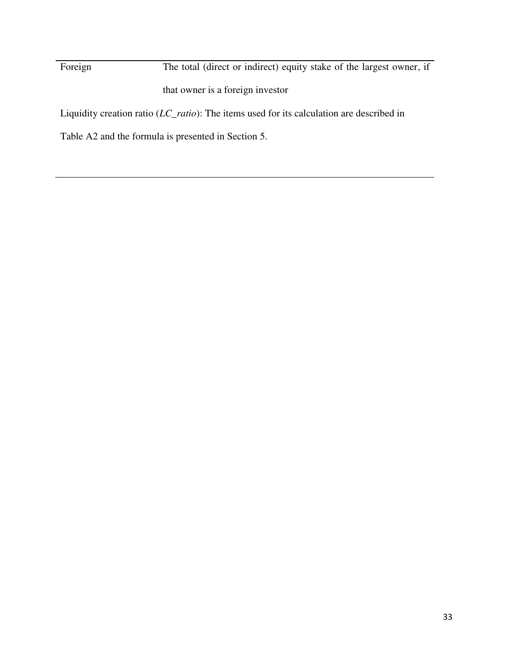Foreign The total (direct or indirect) equity stake of the largest owner, if that owner is a foreign investor Liquidity creation ratio (*LC\_ratio*): The items used for its calculation are described in

Table A2 and the formula is presented in Section 5.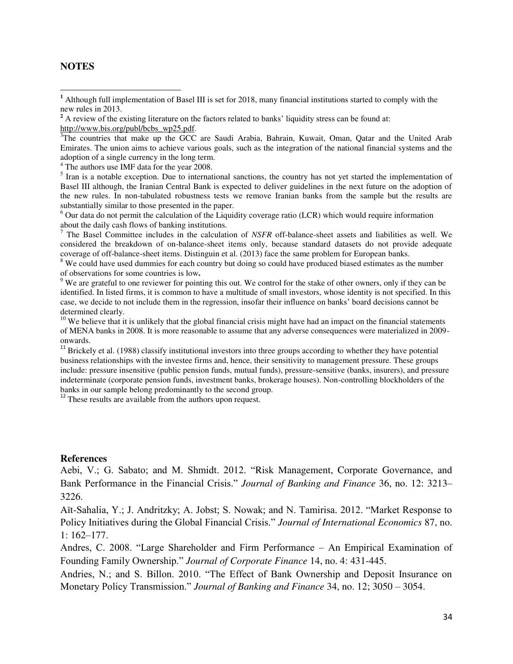# **NOTES**

l

<sup>4</sup> The authors use IMF data for the year 2008.

<sup>5</sup> Iran is a notable exception. Due to international sanctions, the country has not yet started the implementation of Basel III although, the Iranian Central Bank is expected to deliver guidelines in the next future on the adoption of the new rules. In non-tabulated robustness tests we remove Iranian banks from the sample but the results are substantially similar to those presented in the paper.

<sup>6</sup> Our data do not permit the calculation of the Liquidity coverage ratio (LCR) which would require information

about the daily cash flows of banking institutions. 7 The Basel Committee includes in the calculation of *NSFR* off-balance-sheet assets and liabilities as well. We considered the breakdown of on-balance-sheet items only, because standard datasets do not provide adequate coverage of off-balance-sheet items. Distinguin et al. (2013) face the same problem for European banks.

<sup>8</sup> We could have used dummies for each country but doing so could have produced biased estimates as the number of observations for some countries is low**.** 

 $9$  We are grateful to one reviewer for pointing this out. We control for the stake of other owners, only if they can be identified. In listed firms, it is common to have a multitude of small investors, whose identity is not specified. In this case, we decide to not include them in the regression, insofar their influence on banks' board decisions cannot be determined clearly.

 $10$  We believe that it is unlikely that the global financial crisis might have had an impact on the financial statements of MENA banks in 2008. It is more reasonable to assume that any adverse consequences were materialized in 2009 onwards.

<sup>11</sup> Brickely et al. (1988) classify institutional investors into three groups according to whether they have potential business relationships with the investee firms and, hence, their sensitivity to management pressure. These groups include: pressure insensitive (public pension funds, mutual funds), pressure-sensitive (banks, insurers), and pressure indeterminate (corporate pension funds, investment banks, brokerage houses). Non-controlling blockholders of the banks in our sample belong predominantly to the second group.

<sup>12</sup> These results are available from the authors upon request.

#### **References**

Aebi, V.; G. Sabato; and M. Shmidt. 2012. "Risk Management, Corporate Governance, and Bank Performance in the Financial Crisis." *Journal of Banking and Finance* 36, no. 12: 3213– 3226.

Aït-Sahalia, Y.; J. Andritzky; A. Jobst; S. Nowak; and N. Tamirisa. 2012. "Market Response to Policy Initiatives during the Global Financial Crisis." *Journal of International Economics* 87, no. 1: 162–177.

Andres, C. 2008. "Large Shareholder and Firm Performance – An Empirical Examination of Founding Family Ownership." *Journal of Corporate Finance* 14, no. 4: 431-445.

Andries, N.; and S. Billon. 2010. "The Effect of Bank Ownership and Deposit Insurance on Monetary Policy Transmission." *Journal of Banking and Finance* 34, no. 12; 3050 – 3054.

**<sup>1</sup>** Although full implementation of Basel III is set for 2018, many financial institutions started to comply with the new rules in 2013.

<sup>&</sup>lt;sup>2</sup> A review of the existing literature on the factors related to banks' liquidity stress can be found at: http://www.bis.org/publ/bcbs\_wp25.pdf.

<sup>&</sup>lt;sup>3</sup>The countries that make up the GCC are Saudi Arabia, Bahrain, Kuwait, Oman, Qatar and the United Arab Emirates. The union aims to achieve various goals, such as the integration of the national financial systems and the adoption of a single currency in the long term.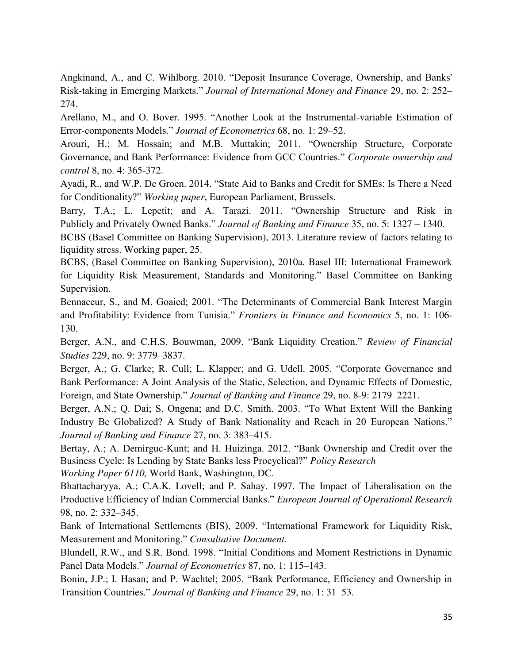Angkinand, A., and C. Wihlborg. 2010. "Deposit Insurance Coverage, Ownership, and Banks' Risk-taking in Emerging Markets." *Journal of International Money and Finance* 29, no. 2: 252– 274.

Arellano, M., and O. Bover. 1995. "Another Look at the Instrumental-variable Estimation of Error-components Models." *Journal of Econometrics* 68, no. 1: 29–52.

Arouri, H.; M. Hossain; and M.B. Muttakin; 2011. "Ownership Structure, Corporate Governance, and Bank Performance: Evidence from GCC Countries." *Corporate ownership and control* 8, no. 4: 365-372.

Ayadi, R., and W.P. De Groen. 2014. "State Aid to Banks and Credit for SMEs: Is There a Need for Conditionality?" *Working paper*, European Parliament, Brussels.

Barry, T.A.; L. Lepetit; and A. Tarazi. 2011. "Ownership Structure and Risk in Publicly and Privately Owned Banks." *Journal of Banking and Finance* 35, no. 5: 1327 – 1340.

BCBS (Basel Committee on Banking Supervision), 2013. Literature review of factors relating to liquidity stress. Working paper, 25.

BCBS, (Basel Committee on Banking Supervision), 2010a. Basel III: International Framework for Liquidity Risk Measurement, Standards and Monitoring." Basel Committee on Banking Supervision.

Bennaceur, S., and M. Goaied; 2001. "The Determinants of Commercial Bank Interest Margin and Profitability: Evidence from Tunisia." *Frontiers in Finance and Economics* 5, no. 1: 106- 130.

Berger, A.N., and C.H.S. Bouwman, 2009. "Bank Liquidity Creation." *Review of Financial Studies* 229, no. 9: 3779–3837.

Berger, A.; G. Clarke; R. Cull; L. Klapper; and G. Udell. 2005. "Corporate Governance and Bank Performance: A Joint Analysis of the Static, Selection, and Dynamic Effects of Domestic, Foreign, and State Ownership." *Journal of Banking and Finance* 29, no. 8-9: 2179–2221.

Berger, A.N.; Q. Dai; S. Ongena; and D.C. Smith. 2003. "To What Extent Will the Banking Industry Be Globalized? A Study of Bank Nationality and Reach in 20 European Nations." *Journal of Banking and Finance* 27, no. 3: 383–415.

Bertay, A.; A. Demirguc-Kunt; and H. Huizinga. 2012. "Bank Ownership and Credit over the Business Cycle: Is Lending by State Banks less Procyclical?" *Policy Research* 

*Working Paper 6110,* World Bank, Washington, DC.

l

Bhattacharyya, A.; C.A.K. Lovell; and P. Sahay. 1997. The Impact of Liberalisation on the Productive Efficiency of Indian Commercial Banks." *European Journal of Operational Research* 98, no. 2: 332–345.

Bank of International Settlements (BIS), 2009. "International Framework for Liquidity Risk, Measurement and Monitoring." *Consultative Document*.

Blundell, R.W., and S.R. Bond. 1998. "Initial Conditions and Moment Restrictions in Dynamic Panel Data Models." *Journal of Econometrics* 87, no. 1: 115–143.

Bonin, J.P.; I. Hasan; and P. Wachtel; 2005. "Bank Performance, Efficiency and Ownership in Transition Countries." *Journal of Banking and Finance* 29, no. 1: 31–53.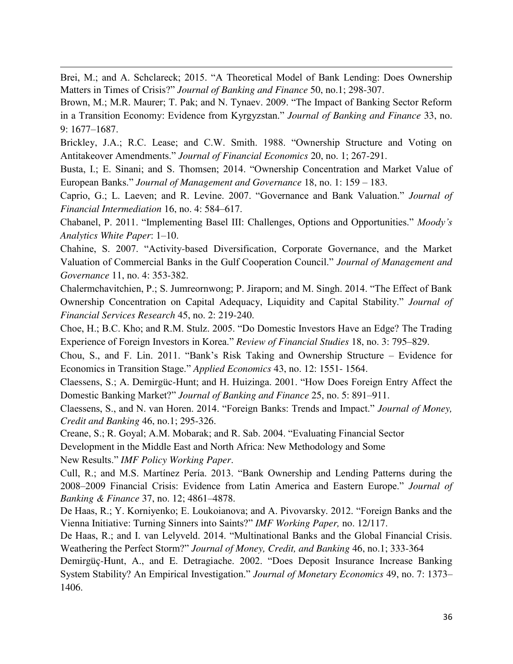Brei, M.; and A. Schclareck; 2015. "A Theoretical Model of Bank Lending: Does Ownership Matters in Times of Crisis?" *Journal of Banking and Finance* 50, no.1; 298-307.

Brown, M.; M.R. Maurer; T. Pak; and N. Tynaev. 2009. "The Impact of Banking Sector Reform in a Transition Economy: Evidence from Kyrgyzstan." *Journal of Banking and Finance* 33, no. 9: 1677–1687.

Brickley, J.A.; R.C. Lease; and C.W. Smith. 1988. "Ownership Structure and Voting on Antitakeover Amendments." *Journal of Financial Economics* 20, no. 1; 267-291.

Busta, I.; E. Sinani; and S. Thomsen; 2014. "Ownership Concentration and Market Value of European Banks." *Journal of Management and Governance* 18, no. 1: 159 – 183.

Caprio, G.; L. Laeven; and R. Levine. 2007. "Governance and Bank Valuation." *Journal of Financial Intermediation* 16, no. 4: 584–617.

Chabanel, P. 2011. "Implementing Basel III: Challenges, Options and Opportunities." *Moody's Analytics White Paper*: 1–10.

Chahine, S. 2007. "Activity-based Diversification, Corporate Governance, and the Market Valuation of Commercial Banks in the Gulf Cooperation Council." *Journal of Management and Governance* 11, no. 4: 353-382.

Chalermchavitchien, P.; S. Jumreornwong; P. Jiraporn; and M. Singh. 2014. "The Effect of Bank Ownership Concentration on Capital Adequacy, Liquidity and Capital Stability." *Journal of Financial Services Research* 45, no. 2: 219-240.

Choe, H.; B.C. Kho; and R.M. Stulz. 2005. "Do Domestic Investors Have an Edge? The Trading Experience of Foreign Investors in Korea." *Review of Financial Studies* 18, no. 3: 795–829.

Chou, S., and F. Lin. 2011. "Bank's Risk Taking and Ownership Structure – Evidence for Economics in Transition Stage." *Applied Economics* 43, no. 12: 1551- 1564.

Claessens, S.; A. Demirgüc-Hunt; and H. Huizinga. 2001. "How Does Foreign Entry Affect the Domestic Banking Market?" *Journal of Banking and Finance* 25, no. 5: 891–911.

Claessens, S., and N. van Horen. 2014. "Foreign Banks: Trends and Impact." *Journal of Money, Credit and Banking* 46, no.1; 295-326.

Creane, S.; R. Goyal; A.M. Mobarak; and R. Sab. 2004. "Evaluating Financial Sector

Development in the Middle East and North Africa: New Methodology and Some

New Results." *IMF Policy Working Paper*.

l

Cull, R.; and M.S. Martínez Pería. 2013. "Bank Ownership and Lending Patterns during the 2008–2009 Financial Crisis: Evidence from Latin America and Eastern Europe." *Journal of Banking & Finance* 37, no. 12; 4861–4878.

De Haas, R.; Y. Korniyenko; E. Loukoianova; and A. Pivovarsky. 2012. "Foreign Banks and the Vienna Initiative: Turning Sinners into Saints?" *IMF Working Paper,* no. 12/117.

De Haas, R.; and I. van Lelyveld. 2014. "Multinational Banks and the Global Financial Crisis. Weathering the Perfect Storm?" *Journal of Money, Credit, and Banking* 46, no.1; 333-364

Demirgüç-Hunt, A., and E. Detragiache. 2002. "Does Deposit Insurance Increase Banking System Stability? An Empirical Investigation." *Journal of Monetary Economics* 49, no. 7: 1373– 1406.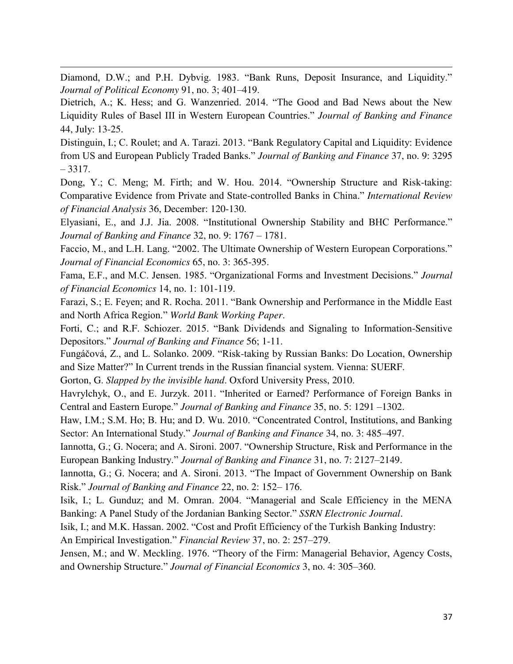Diamond, D.W.; and P.H. Dybvig. 1983. "Bank Runs, Deposit Insurance, and Liquidity." *Journal of Political Economy* 91, no. 3; 401–419.

l

Dietrich, A.; K. Hess; and G. Wanzenried. 2014. "The Good and Bad News about the New Liquidity Rules of Basel III in Western European Countries." *Journal of Banking and Finance* 44, July: 13-25.

Distinguin, I.; C. Roulet; and A. Tarazi. 2013. "Bank Regulatory Capital and Liquidity: Evidence from US and European Publicly Traded Banks." *Journal of Banking and Finance* 37, no. 9: 3295 – 3317.

Dong, Y.; C. Meng; M. Firth; and W. Hou. 2014. "Ownership Structure and Risk-taking: Comparative Evidence from Private and State-controlled Banks in China." *International Review of Financial Analysis* 36, December: 120-130.

Elyasiani, E., and J.J. Jia. 2008. "Institutional Ownership Stability and BHC Performance." *Journal of Banking and Finance* 32, no. 9: 1767 – 1781.

Faccio, M., and L.H. Lang. "2002. The Ultimate Ownership of Western European Corporations." *Journal of Financial Economics* 65, no. 3: 365-395.

Fama, E.F., and M.C. Jensen. 1985. "Organizational Forms and Investment Decisions." *Journal of Financial Economics* 14, no. 1: 101-119.

Farazi, S.; E. Feyen; and R. Rocha. 2011. "Bank Ownership and Performance in the Middle East and North Africa Region." *World Bank Working Paper*.

Forti, C.; and R.F. Schiozer. 2015. "Bank Dividends and Signaling to Information-Sensitive Depositors." *Journal of Banking and Finance* 56; 1-11.

Fungáčová, Z., and L. Solanko. 2009. "Risk-taking by Russian Banks: Do Location, Ownership and Size Matter?" In Current trends in the Russian financial system. Vienna: SUERF.

Gorton, G. *Slapped by the invisible hand*. Oxford University Press, 2010.

Havrylchyk, O., and E. Jurzyk. 2011. "Inherited or Earned? Performance of Foreign Banks in Central and Eastern Europe." *Journal of Banking and Finance* 35, no. 5: 1291 –1302.

Haw, I.M.; S.M. Ho; B. Hu; and D. Wu. 2010. "Concentrated Control, Institutions, and Banking Sector: An International Study." *Journal of Banking and Finance* 34, no. 3: 485–497.

Iannotta, G.; G. Nocera; and A. Sironi. 2007. "Ownership Structure, Risk and Performance in the European Banking Industry." *Journal of Banking and Finance* 31, no. 7: 2127–2149.

Iannotta, G.; G. Nocera; and A. Sironi. 2013. "The Impact of Government Ownership on Bank Risk." *Journal of Banking and Finance* 22, no. 2: 152– 176.

Isik, I.; L. Gunduz; and M. Omran. 2004. "Managerial and Scale Efficiency in the MENA Banking: A Panel Study of the Jordanian Banking Sector." *SSRN Electronic Journal*.

Isik, I.; and M.K. Hassan. 2002. "Cost and Profit Efficiency of the Turkish Banking Industry: An Empirical Investigation." *Financial Review* 37, no. 2: 257–279.

Jensen, M.; and W. Meckling. 1976. "Theory of the Firm: Managerial Behavior, Agency Costs, and Ownership Structure." *Journal of Financial Economics* 3, no. 4: 305–360.